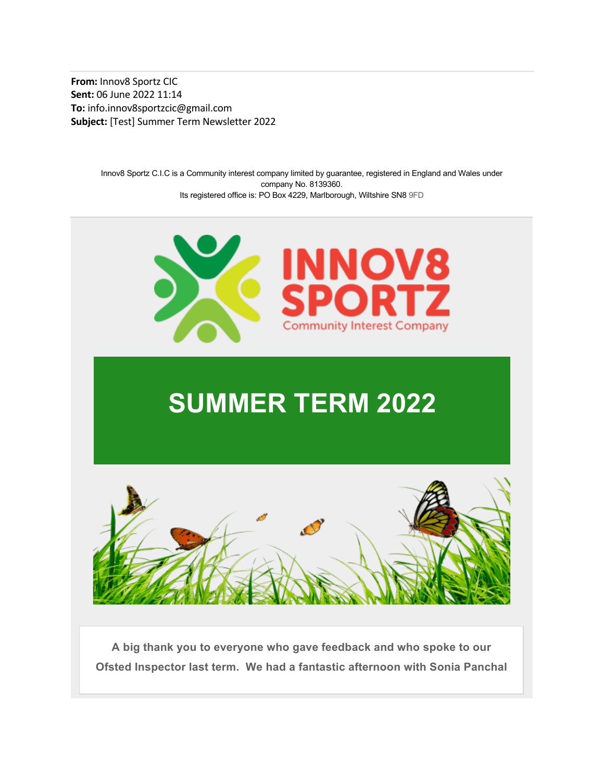From: Innov8 Sportz CIC Sent: 06 June 2022 11:14 To: info.innov8sportzcic@gmail.com Subject: [Test] Summer Term Newsletter 2022

> Innov8 Sportz C.I.C is a Community interest company limited by guarantee, registered in England and Wales under company No. 8139360. Its registered office is: PO Box 4229, Marlborough, Wiltshire SN8 9FD



# SUMMER TERM 2022



A big thank you to everyone who gave feedback and who spoke to our Ofsted Inspector last term. We had a fantastic afternoon with Sonia Panchal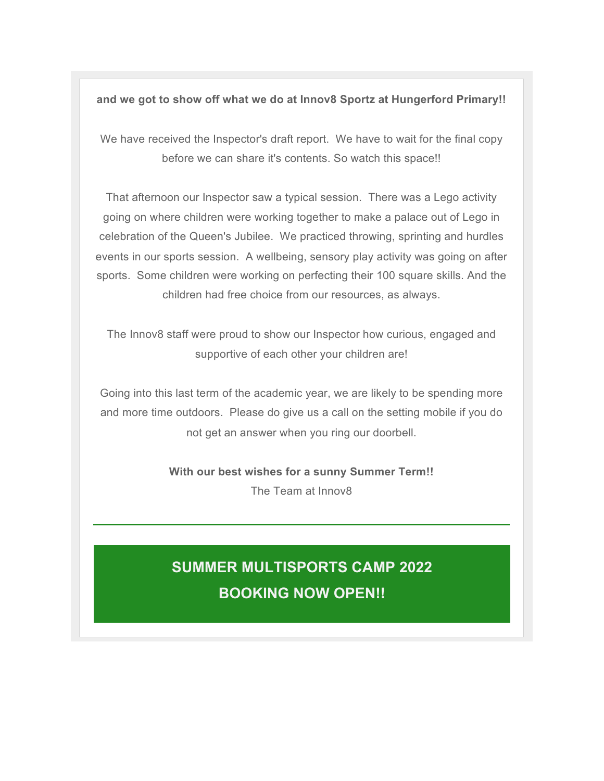and we got to show off what we do at Innov8 Sportz at Hungerford Primary!!

We have received the Inspector's draft report. We have to wait for the final copy before we can share it's contents. So watch this space!!

That afternoon our Inspector saw a typical session. There was a Lego activity going on where children were working together to make a palace out of Lego in celebration of the Queen's Jubilee. We practiced throwing, sprinting and hurdles events in our sports session. A wellbeing, sensory play activity was going on after sports. Some children were working on perfecting their 100 square skills. And the children had free choice from our resources, as always.

The Innov8 staff were proud to show our Inspector how curious, engaged and supportive of each other your children are!

Going into this last term of the academic year, we are likely to be spending more and more time outdoors. Please do give us a call on the setting mobile if you do not get an answer when you ring our doorbell.

> With our best wishes for a sunny Summer Term!! The Team at Innov8

#### SUMMER MULTISPORTS CAMP 2022 BOOKING NOW OPEN!!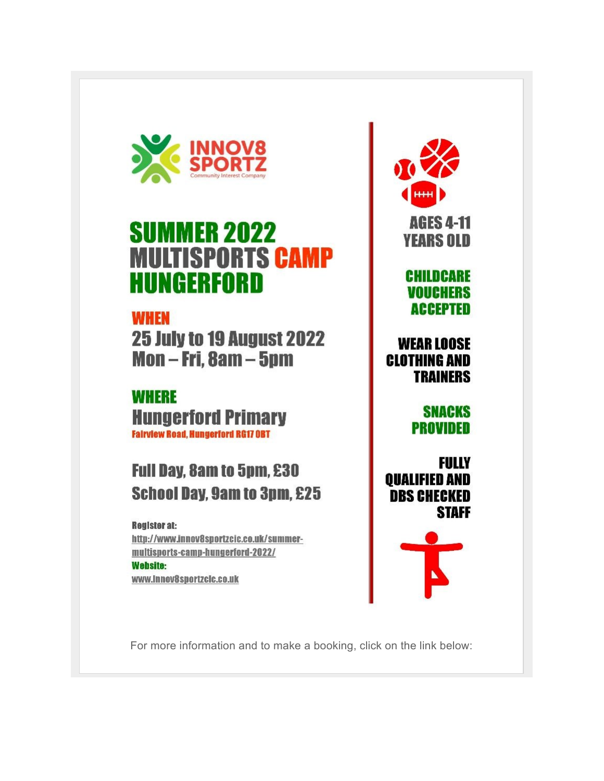

## **SUMMER 2022 MULTISPORTS CAMP HUNGERFORD**

## **WHEN**

**25 July to 19 August 2022** Mon-Fri, 8am-5pm

#### **WHERE Hungerford Primary Fairview Road, Hungerford RG17 OBT**

### **Full Day, 8am to 5pm, £30 School Day, 9am to 3pm, £25**

#### **Register at:** http://www.innov8sportzcic.co.uk/summermultisports-camp-hungerford-2022/ **Website:** www.innov8sportzclc.co.uk



#### **CHILDCARE VOUCHERS ACCEPTED**

#### **WEAR LOOSE CLOTHING AND TRAINERS**

**SNACKS** PROVIDED

FULLY **OUALIFIED AND DBS CHECKED STAFF** 



For more information and to make a booking, click on the link below: